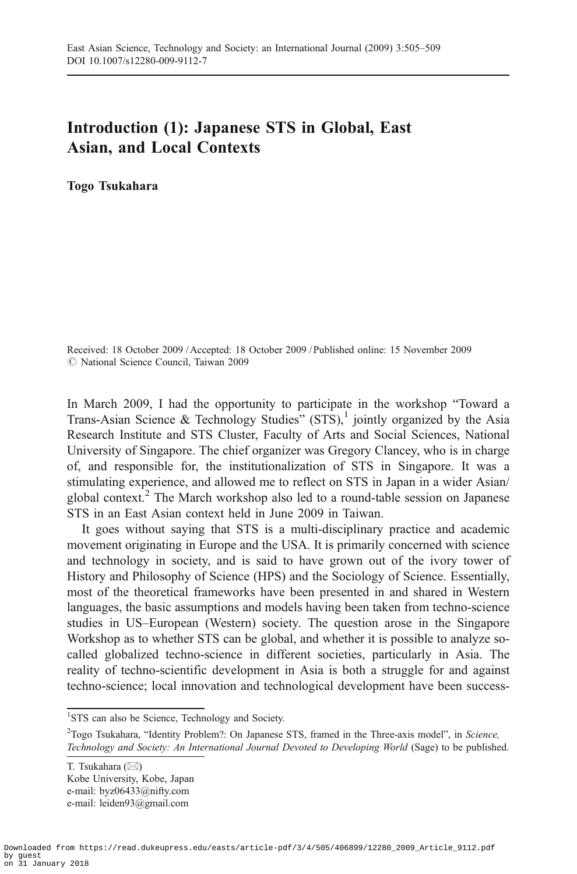## Introduction (1): Japanese STS in Global, East Asian, and Local Contexts

Togo Tsukahara

Received: 18 October 2009 / Accepted: 18 October 2009 / Published online: 15 November 2009  $\oslash$  National Science Council, Taiwan 2009

In March 2009, I had the opportunity to participate in the workshop "Toward a Trans-Asian Science & Technology Studies"  $(STS)$ ,<sup>1</sup> jointly organized by the Asia Research Institute and STS Cluster, Faculty of Arts and Social Sciences, National University of Singapore. The chief organizer was Gregory Clancey, who is in charge of, and responsible for, the institutionalization of STS in Singapore. It was a stimulating experience, and allowed me to reflect on STS in Japan in a wider Asian/ global context.2 The March workshop also led to a round-table session on Japanese STS in an East Asian context held in June 2009 in Taiwan.

It goes without saying that STS is a multi-disciplinary practice and academic movement originating in Europe and the USA. It is primarily concerned with science and technology in society, and is said to have grown out of the ivory tower of History and Philosophy of Science (HPS) and the Sociology of Science. Essentially, most of the theoretical frameworks have been presented in and shared in Western languages, the basic assumptions and models having been taken from techno-science studies in US–European (Western) society. The question arose in the Singapore Workshop as to whether STS can be global, and whether it is possible to analyze socalled globalized techno-science in different societies, particularly in Asia. The reality of techno-scientific development in Asia is both a struggle for and against techno-science; local innovation and technological development have been success-

<sup>&</sup>lt;sup>1</sup>STS can also be Science, Technology and Society.

<sup>&</sup>lt;sup>2</sup>Togo Tsukahara, "Identity Problem?: On Japanese STS, framed in the Three-axis model", in Science, Technology and Society: An International Journal Devoted to Developing World (Sage) to be published.

T. Tsukahara (*\**) Kobe University, Kobe, Japan e-mail: byz06433@nifty.com e-mail: leiden93@gmail.com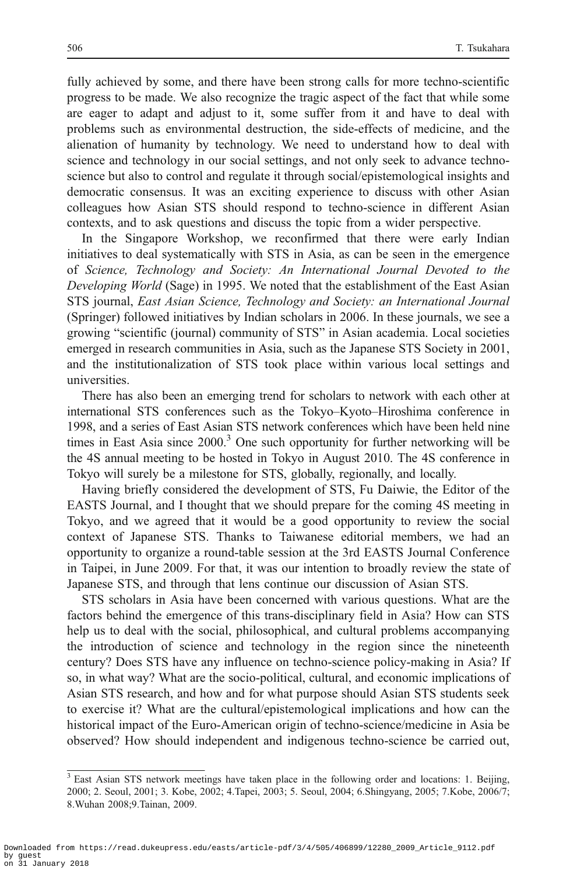fully achieved by some, and there have been strong calls for more techno-scientific progress to be made. We also recognize the tragic aspect of the fact that while some are eager to adapt and adjust to it, some suffer from it and have to deal with problems such as environmental destruction, the side-effects of medicine, and the alienation of humanity by technology. We need to understand how to deal with science and technology in our social settings, and not only seek to advance technoscience but also to control and regulate it through social/epistemological insights and democratic consensus. It was an exciting experience to discuss with other Asian colleagues how Asian STS should respond to techno-science in different Asian contexts, and to ask questions and discuss the topic from a wider perspective.

In the Singapore Workshop, we reconfirmed that there were early Indian initiatives to deal systematically with STS in Asia, as can be seen in the emergence of Science, Technology and Society: An International Journal Devoted to the Developing World (Sage) in 1995. We noted that the establishment of the East Asian STS journal, East Asian Science, Technology and Society: an International Journal (Springer) followed initiatives by Indian scholars in 2006. In these journals, we see a growing "scientific (journal) community of STS" in Asian academia. Local societies emerged in research communities in Asia, such as the Japanese STS Society in 2001, and the institutionalization of STS took place within various local settings and universities.

There has also been an emerging trend for scholars to network with each other at international STS conferences such as the Tokyo–Kyoto–Hiroshima conference in 1998, and a series of East Asian STS network conferences which have been held nine times in East Asia since  $2000<sup>3</sup>$  One such opportunity for further networking will be the 4S annual meeting to be hosted in Tokyo in August 2010. The 4S conference in Tokyo will surely be a milestone for STS, globally, regionally, and locally.

Having briefly considered the development of STS, Fu Daiwie, the Editor of the EASTS Journal, and I thought that we should prepare for the coming 4S meeting in Tokyo, and we agreed that it would be a good opportunity to review the social context of Japanese STS. Thanks to Taiwanese editorial members, we had an opportunity to organize a round-table session at the 3rd EASTS Journal Conference in Taipei, in June 2009. For that, it was our intention to broadly review the state of Japanese STS, and through that lens continue our discussion of Asian STS.

STS scholars in Asia have been concerned with various questions. What are the factors behind the emergence of this trans-disciplinary field in Asia? How can STS help us to deal with the social, philosophical, and cultural problems accompanying the introduction of science and technology in the region since the nineteenth century? Does STS have any influence on techno-science policy-making in Asia? If so, in what way? What are the socio-political, cultural, and economic implications of Asian STS research, and how and for what purpose should Asian STS students seek to exercise it? What are the cultural/epistemological implications and how can the historical impact of the Euro-American origin of techno-science/medicine in Asia be observed? How should independent and indigenous techno-science be carried out,

 $\frac{3}{3}$  East Asian STS network meetings have taken place in the following order and locations: 1. Beijing, 2000; 2. Seoul, 2001; 3. Kobe, 2002; 4.Tapei, 2003; 5. Seoul, 2004; 6.Shingyang, 2005; 7.Kobe, 2006/7; 8.Wuhan 2008;9.Tainan, 2009.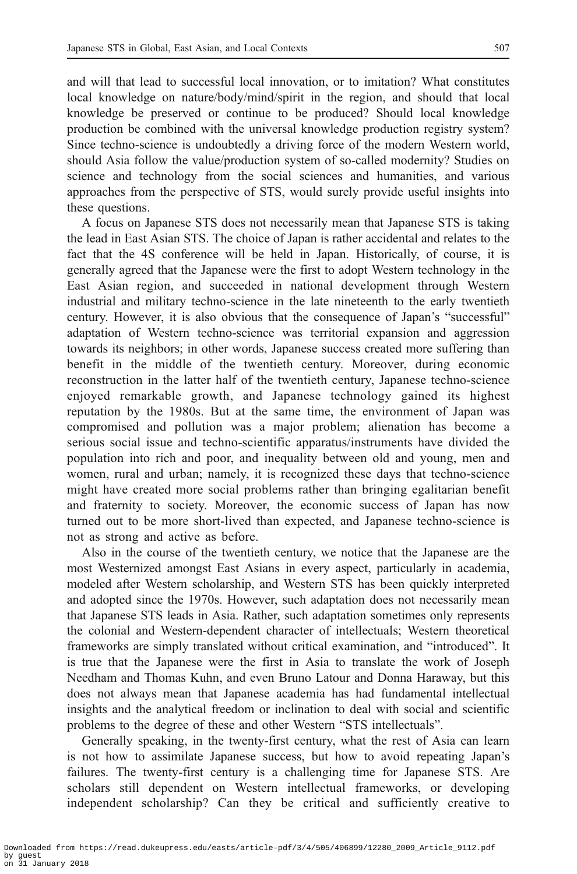and will that lead to successful local innovation, or to imitation? What constitutes local knowledge on nature/body/mind/spirit in the region, and should that local knowledge be preserved or continue to be produced? Should local knowledge production be combined with the universal knowledge production registry system? Since techno-science is undoubtedly a driving force of the modern Western world, should Asia follow the value/production system of so-called modernity? Studies on science and technology from the social sciences and humanities, and various approaches from the perspective of STS, would surely provide useful insights into these questions.

A focus on Japanese STS does not necessarily mean that Japanese STS is taking the lead in East Asian STS. The choice of Japan is rather accidental and relates to the fact that the 4S conference will be held in Japan. Historically, of course, it is generally agreed that the Japanese were the first to adopt Western technology in the East Asian region, and succeeded in national development through Western industrial and military techno-science in the late nineteenth to the early twentieth century. However, it is also obvious that the consequence of Japan's "successful" adaptation of Western techno-science was territorial expansion and aggression towards its neighbors; in other words, Japanese success created more suffering than benefit in the middle of the twentieth century. Moreover, during economic reconstruction in the latter half of the twentieth century, Japanese techno-science enjoyed remarkable growth, and Japanese technology gained its highest reputation by the 1980s. But at the same time, the environment of Japan was compromised and pollution was a major problem; alienation has become a serious social issue and techno-scientific apparatus/instruments have divided the population into rich and poor, and inequality between old and young, men and women, rural and urban; namely, it is recognized these days that techno-science might have created more social problems rather than bringing egalitarian benefit and fraternity to society. Moreover, the economic success of Japan has now turned out to be more short-lived than expected, and Japanese techno-science is not as strong and active as before.

Also in the course of the twentieth century, we notice that the Japanese are the most Westernized amongst East Asians in every aspect, particularly in academia, modeled after Western scholarship, and Western STS has been quickly interpreted and adopted since the 1970s. However, such adaptation does not necessarily mean that Japanese STS leads in Asia. Rather, such adaptation sometimes only represents the colonial and Western-dependent character of intellectuals; Western theoretical frameworks are simply translated without critical examination, and "introduced". It is true that the Japanese were the first in Asia to translate the work of Joseph Needham and Thomas Kuhn, and even Bruno Latour and Donna Haraway, but this does not always mean that Japanese academia has had fundamental intellectual insights and the analytical freedom or inclination to deal with social and scientific problems to the degree of these and other Western "STS intellectuals".

Generally speaking, in the twenty-first century, what the rest of Asia can learn is not how to assimilate Japanese success, but how to avoid repeating Japan's failures. The twenty-first century is a challenging time for Japanese STS. Are scholars still dependent on Western intellectual frameworks, or developing independent scholarship? Can they be critical and sufficiently creative to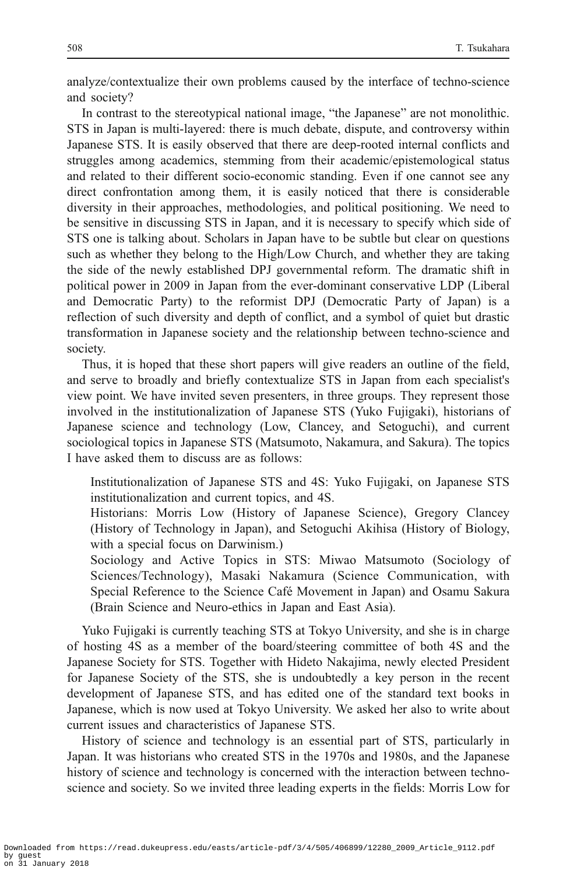analyze/contextualize their own problems caused by the interface of techno-science and society?

In contrast to the stereotypical national image, "the Japanese" are not monolithic. STS in Japan is multi-layered: there is much debate, dispute, and controversy within Japanese STS. It is easily observed that there are deep-rooted internal conflicts and struggles among academics, stemming from their academic/epistemological status and related to their different socio-economic standing. Even if one cannot see any direct confrontation among them, it is easily noticed that there is considerable diversity in their approaches, methodologies, and political positioning. We need to be sensitive in discussing STS in Japan, and it is necessary to specify which side of STS one is talking about. Scholars in Japan have to be subtle but clear on questions such as whether they belong to the High/Low Church, and whether they are taking the side of the newly established DPJ governmental reform. The dramatic shift in political power in 2009 in Japan from the ever-dominant conservative LDP (Liberal and Democratic Party) to the reformist DPJ (Democratic Party of Japan) is a reflection of such diversity and depth of conflict, and a symbol of quiet but drastic transformation in Japanese society and the relationship between techno-science and society.

Thus, it is hoped that these short papers will give readers an outline of the field, and serve to broadly and briefly contextualize STS in Japan from each specialist's view point. We have invited seven presenters, in three groups. They represent those involved in the institutionalization of Japanese STS (Yuko Fujigaki), historians of Japanese science and technology (Low, Clancey, and Setoguchi), and current sociological topics in Japanese STS (Matsumoto, Nakamura, and Sakura). The topics I have asked them to discuss are as follows:

- Institutionalization of Japanese STS and 4S: Yuko Fujigaki, on Japanese STS institutionalization and current topics, and 4S.
- Historians: Morris Low (History of Japanese Science), Gregory Clancey (History of Technology in Japan), and Setoguchi Akihisa (History of Biology, with a special focus on Darwinism.)
- Sociology and Active Topics in STS: Miwao Matsumoto (Sociology of Sciences/Technology), Masaki Nakamura (Science Communication, with Special Reference to the Science Café Movement in Japan) and Osamu Sakura (Brain Science and Neuro-ethics in Japan and East Asia).

Yuko Fujigaki is currently teaching STS at Tokyo University, and she is in charge of hosting 4S as a member of the board/steering committee of both 4S and the Japanese Society for STS. Together with Hideto Nakajima, newly elected President for Japanese Society of the STS, she is undoubtedly a key person in the recent development of Japanese STS, and has edited one of the standard text books in Japanese, which is now used at Tokyo University. We asked her also to write about current issues and characteristics of Japanese STS.

History of science and technology is an essential part of STS, particularly in Japan. It was historians who created STS in the 1970s and 1980s, and the Japanese history of science and technology is concerned with the interaction between technoscience and society. So we invited three leading experts in the fields: Morris Low for